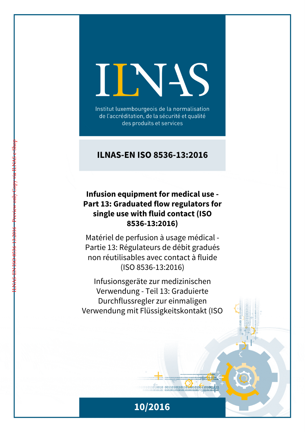# INS

Institut luxembourgeois de la normalisation de l'accréditation, de la sécurité et qualité des produits et services

# **ILNAS-EN ISO 8536-13:2016**

# **Infusion equipment for medical use - Part 13: Graduated flow regulators for single use with fluid contact (ISO 8536-13:2016)**

ILNAS-EN ISO 8536-13:2016 - Preview only Copy via ILNAS e-Shop

Matériel de perfusion à usage médical - Partie 13: Régulateurs de débit gradués non réutilisables avec contact à fluide (ISO 8536-13:2016)

Infusionsgeräte zur medizinischen Verwendung - Teil 13: Graduierte Durchflussregler zur einmaligen Verwendung mit Flüssigkeitskontakt (ISO

 $1011010010 00110100101101001001101001111$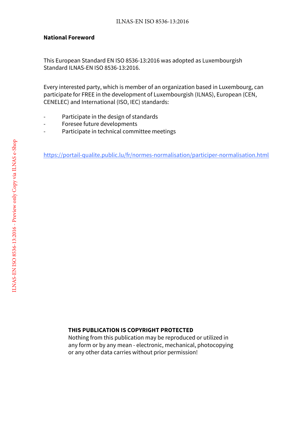#### **National Foreword**

This European Standard EN ISO 8536-13:2016 was adopted as Luxembourgish Standard ILNAS-EN ISO 8536-13:2016.

Every interested party, which is member of an organization based in Luxembourg, can participate for FREE in the development of Luxembourgish (ILNAS), European (CEN, CENELEC) and International (ISO, IEC) standards:

- Participate in the design of standards
- Foresee future developments
- Participate in technical committee meetings

https://portail-qualite.public.lu/fr/normes-normalisation/participer-normalisation.html

#### **THIS PUBLICATION IS COPYRIGHT PROTECTED**

Nothing from this publication may be reproduced or utilized in any form or by any mean - electronic, mechanical, photocopying or any other data carries without prior permission!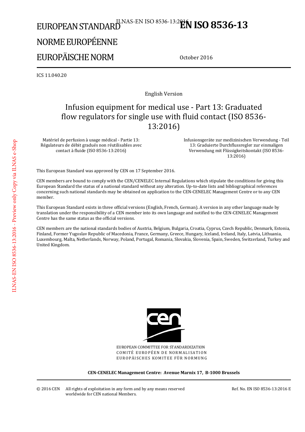# EUROPEAN STANDARD<sup>ILNAS-EN ISO 8536-13:2<sup>016</sup>N ISO 8536-13</sup> NORME EUROPÉENNE

# EUROPÄISCHE NORM

October 2016

ICS 11.040.20

English Version

# Infusion equipment for medical use - Part 13: Graduated flow regulators for single use with fluid contact (ISO 8536- 13:2016)

Matériel de perfusion à usage médical - Partie 13: Régulateurs de débit gradués non réutilisables avec contact à fluide (ISO 8536-13:2016)

 Infusionsgeräte zur medizinischen Verwendung - Teil 13: Graduierte Durchflussregler zur einmaligen Verwendung mit Flüssigkeitskontakt (ISO 8536- 13:2016)

This European Standard was approved by CEN on 17 September 2016.

CEN members are bound to comply with the CEN/CENELEC Internal Regulations which stipulate the conditions for giving this European Standard the status of a national standard without any alteration. Up-to-date lists and bibliographical references concerning such national standards may be obtained on application to the CEN-CENELEC Management Centre or to any CEN member.

This European Standard exists in three official versions (English, French, German). A version in any other language made by translation under the responsibility of a CEN member into its own language and notified to the CEN-CENELEC Management Centre has the same status as the official versions.

CEN members are the national standards bodies of Austria, Belgium, Bulgaria, Croatia, Cyprus, Czech Republic, Denmark, Estonia, Finland, Former Yugoslav Republic of Macedonia, France, Germany, Greece, Hungary, Iceland, Ireland, Italy, Latvia, Lithuania, Luxembourg, Malta, Netherlands, Norway, Poland, Portugal, Romania, Slovakia, Slovenia, Spain, Sweden, Switzerland, Turkey and United Kingdom.



EUROPEAN COMMITTEE FOR STANDARDIZATION COMITÉ EUROPÉEN DE NORMALISATION EUROPÄISCHES KOMITEE FÜR NORMUNG

**CEN-CENELEC Management Centre: Avenue Marnix 17, B-1000 Brussels**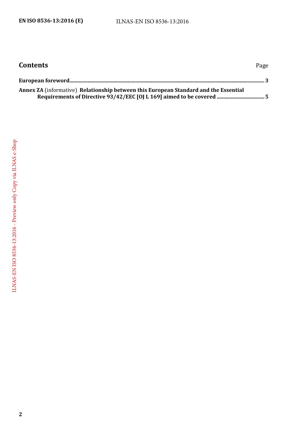| <b>Contents</b>                                                                      | Page |
|--------------------------------------------------------------------------------------|------|
|                                                                                      |      |
| Annex ZA (informative) Relationship between this European Standard and the Essential |      |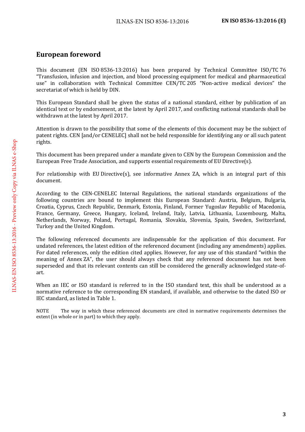### <span id="page-4-0"></span>**European foreword**

This document (EN ISO 8536-13:2016) has been prepared by Technical Committee ISO/TC 76 "Transfusion, infusion and injection, and blood processing equipment for medical and pharmaceutical use" in collaboration with Technical Committee CEN/TC 205 "Non-active medical devices" the secretariat of which is held by DIN.

This European Standard shall be given the status of a national standard, either by publication of an identical text or by endorsement, at the latest by April 2017, and conflicting national standards shall be withdrawn at the latest by April 2017.

Attention is drawn to the possibility that some of the elements of this document may be the subject of patent rights. CEN [and/or CENELEC] shall not be held responsible for identifying any or all such patent rights.

This document has been prepared under a mandate given to CEN by the European Commission and the European Free Trade Association, and supports essential requirements of EU Directive(s).

For relationship with EU Directive(s), see informative Annex ZA, which is an integral part of this document.

According to the CEN-CENELEC Internal Regulations, the national standards organizations of the following countries are bound to implement this European Standard: Austria, Belgium, Bulgaria, Croatia, Cyprus, Czech Republic, Denmark, Estonia, Finland, Former Yugoslav Republic of Macedonia, France, Germany, Greece, Hungary, Iceland, Ireland, Italy, Latvia, Lithuania, Luxembourg, Malta, Netherlands, Norway, Poland, Portugal, Romania, Slovakia, Slovenia, Spain, Sweden, Switzerland, Turkey and the United Kingdom.

The following referenced documents are indispensable for the application of this document. For undated references, the latest edition of the referenced document (including any amendments) applies. For dated references, only the edition cited applies. However, for any use of this standard "within the meaning of Annex ZA", the user should always check that any referenced document has not been superseded and that its relevant contents can still be considered the generally acknowledged state-ofart.

When an IEC or ISO standard is referred to in the ISO standard text, this shall be understood as a normative reference to the corresponding EN standard, if available, and otherwise to the dated ISO or IEC standard, as listed in Table 1.

NOTE The way in which these referenced documents are cited in normative requirements determines the extent (in whole or in part) to which they apply.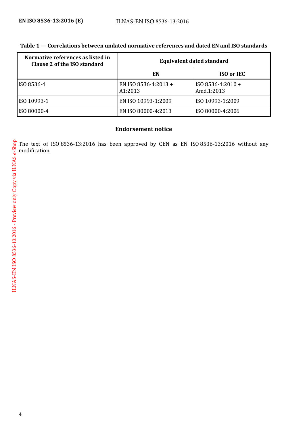| Normative references as listed in<br>Clause 2 of the ISO standard | <b>Equivalent dated standard</b> |                                   |
|-------------------------------------------------------------------|----------------------------------|-----------------------------------|
|                                                                   | EN                               | <b>ISO or IEC</b>                 |
| ISO 8536-4                                                        | EN ISO 8536-4:2013 +<br>A1:2013  | $ISO$ 8536-4:2010 +<br>Amd.1:2013 |
| ISO 10993-1                                                       | EN ISO 10993-1:2009              | ISO 10993-1:2009                  |
| ISO 80000-4                                                       | EN ISO 80000-4:2013              | ISO 80000-4:2006                  |

#### **Table 1 — Correlations between undated normative references and dated EN and ISO standards**

#### **Endorsement notice**

The text of ISO 8536-13:2016 has been approved by CEN as EN ISO 8536-13:2016 without any modification.